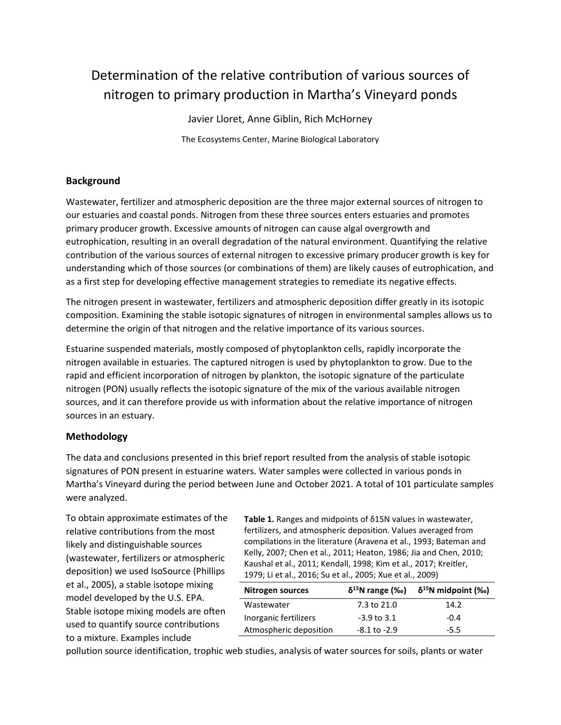# Determination of the relative contribution of various sources of nitrogen to primary production in Martha's Vineyard ponds

Javier Lloret, Anne Giblin, Rich McHorney The Ecosystems Center, Marine Biological Laboratory

## **Background**

Wastewater, fertilizer and atmospheric deposition are the three major external sources of nitrogen to our estuaries and coastal ponds. Nitrogen from these three sources enters estuaries and promotes primary producer growth. Excessive amounts of nitrogen can cause algal overgrowth and eutrophication, resulting in an overall degradation of the natural environment. Quantifying the relative contribution of the various sources of external nitrogen to excessive primary producer growth is key for understanding which of those sources (or combinations of them) are likely causes of eutrophication, and as a first step for developing effective management strategies to remediate its negative effects.

The nitrogen present in wastewater, fertilizers and atmospheric deposition differ greatly in its isotopic composition. Examining the stable isotopic signatures of nitrogen in environmental samples allows us to determine the origin of that nitrogen and the relative importance of its various sources.

Estuarine suspended materials, mostly composed of phytoplankton cells, rapidly incorporate the nitrogen available in estuaries. The captured nitrogen is used by phytoplankton to grow. Due to the rapid and efficient incorporation of nitrogen by plankton, the isotopic signature of the particulate nitrogen (PON) usually reflects the isotopic signature of the mix of the various available nitrogen sources, and it can therefore provide us with information about the relative importance of nitrogen sources in an estuary.

#### **Methodology**

The data and conclusions presented in this brief report resulted from the analysis of stable isotopic signatures of PON present in estuarine waters. Water samples were collected in various ponds in Martha's Vineyard during the period between June and October 2021. A total of 101 particulate samples were analyzed.

To obtain approximate estimates of the relative contributions from the most likely and distinguishable sources (wastewater, fertilizers or atmospheric deposition) we used IsoSource (Phillips et al., 2005), a stable isotope mixing model developed by the U.S. EPA. Stable isotope mixing models are often used to quantify source contributions to a mixture. Examples include

**Table 1.** Ranges and midpoints of δ15N values in wastewater, fertilizers, and atmospheric deposition. Values averaged from compilations in the literature (Aravena et al., 1993; Bateman and Kelly, 2007; Chen et al., 2011; Heaton, 1986; Jia and Chen, 2010; Kaushal et al., 2011; Kendall, 1998; Kim et al., 2017; Kreitler, 1979; Li et al., 2016; Su et al., 2005; Xue et al., 2009)

| Nitrogen sources       | $\delta^{15}$ N range (‰) | $\delta^{15}$ N midpoint (‰) |
|------------------------|---------------------------|------------------------------|
| Wastewater             | 7.3 to 21.0               | 14.2                         |
| Inorganic fertilizers  | $-3.9$ to $3.1$           | $-0.4$                       |
| Atmospheric deposition | -8.1 to -2.9              | $-5.5$                       |

pollution source identification, trophic web studies, analysis of water sources for soils, plants or water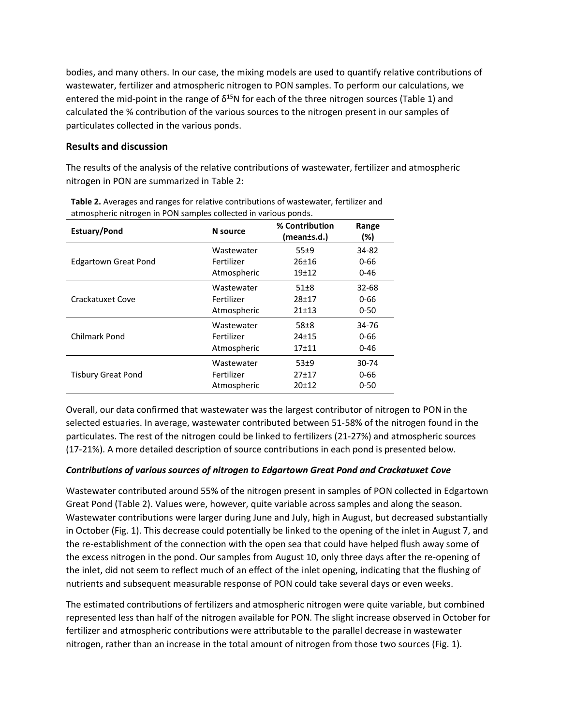bodies, and many others. In our case, the mixing models are used to quantify relative contributions of wastewater, fertilizer and atmospheric nitrogen to PON samples. To perform our calculations, we entered the mid-point in the range of  $\delta^{15}N$  for each of the three nitrogen sources (Table 1) and calculated the % contribution of the various sources to the nitrogen present in our samples of particulates collected in the various ponds.

#### **Results and discussion**

The results of the analysis of the relative contributions of wastewater, fertilizer and atmospheric nitrogen in PON are summarized in Table 2:

| <b>Estuary/Pond</b>         | N source    | % Contribution<br>(mean±s.d.) | Range<br>(%) |
|-----------------------------|-------------|-------------------------------|--------------|
| <b>Edgartown Great Pond</b> | Wastewater  | 55±9                          | 34-82        |
|                             | Fertilizer  | $26 + 16$                     | 0-66         |
|                             | Atmospheric | $19+12$                       | $0 - 46$     |
| Crackatuxet Cove            | Wastewater  | $51 + 8$                      | 32-68        |
|                             | Fertilizer  | 28±17                         | 0-66         |
|                             | Atmospheric | 21±13                         | $0 - 50$     |
| <b>Chilmark Pond</b>        | Wastewater  | $58\pm8$                      | 34-76        |
|                             | Fertilizer  | $24 + 15$                     | 0-66         |
|                             | Atmospheric | $17 + 11$                     | $0 - 46$     |
| <b>Tisbury Great Pond</b>   | Wastewater  | $53+9$                        | 30-74        |
|                             | Fertilizer  | 27±17                         | 0-66         |
|                             | Atmospheric | $20+12$                       | $0 - 50$     |

**Table 2.** Averages and ranges for relative contributions of wastewater, fertilizer and atmospheric nitrogen in PON samples collected in various ponds.

Overall, our data confirmed that wastewater was the largest contributor of nitrogen to PON in the selected estuaries. In average, wastewater contributed between 51-58% of the nitrogen found in the particulates. The rest of the nitrogen could be linked to fertilizers (21-27%) and atmospheric sources (17-21%). A more detailed description of source contributions in each pond is presented below.

## *Contributions of various sources of nitrogen to Edgartown Great Pond and Crackatuxet Cove*

Wastewater contributed around 55% of the nitrogen present in samples of PON collected in Edgartown Great Pond (Table 2). Values were, however, quite variable across samples and along the season. Wastewater contributions were larger during June and July, high in August, but decreased substantially in October (Fig. 1). This decrease could potentially be linked to the opening of the inlet in August 7, and the re-establishment of the connection with the open sea that could have helped flush away some of the excess nitrogen in the pond. Our samples from August 10, only three days after the re-opening of the inlet, did not seem to reflect much of an effect of the inlet opening, indicating that the flushing of nutrients and subsequent measurable response of PON could take several days or even weeks.

The estimated contributions of fertilizers and atmospheric nitrogen were quite variable, but combined represented less than half of the nitrogen available for PON. The slight increase observed in October for fertilizer and atmospheric contributions were attributable to the parallel decrease in wastewater nitrogen, rather than an increase in the total amount of nitrogen from those two sources (Fig. 1).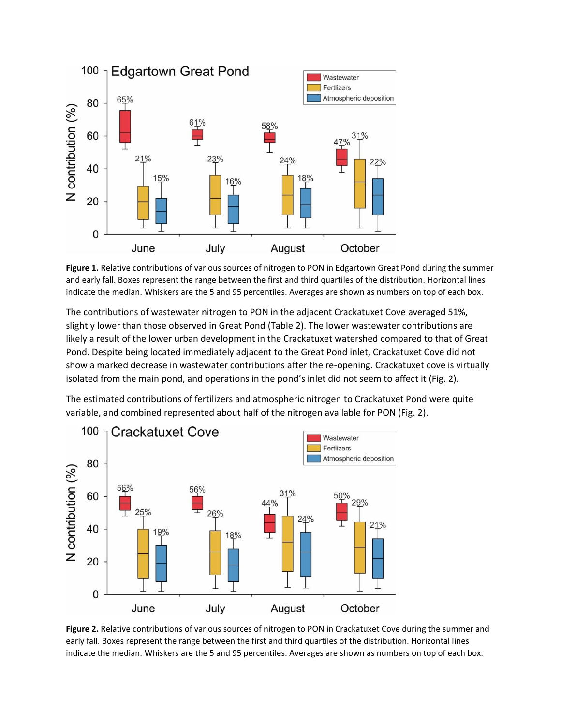

**Figure 1.** Relative contributions of various sources of nitrogen to PON in Edgartown Great Pond during the summer and early fall. Boxes represent the range between the first and third quartiles of the distribution. Horizontal lines indicate the median. Whiskers are the 5 and 95 percentiles. Averages are shown as numbers on top of each box.

The contributions of wastewater nitrogen to PON in the adjacent Crackatuxet Cove averaged 51%, slightly lower than those observed in Great Pond (Table 2). The lower wastewater contributions are likely a result of the lower urban development in the Crackatuxet watershed compared to that of Great Pond. Despite being located immediately adjacent to the Great Pond inlet, Crackatuxet Cove did not show a marked decrease in wastewater contributions after the re-opening. Crackatuxet cove is virtually isolated from the main pond, and operations in the pond's inlet did not seem to affect it (Fig. 2).

The estimated contributions of fertilizers and atmospheric nitrogen to Crackatuxet Pond were quite variable, and combined represented about half of the nitrogen available for PON (Fig. 2).



**Figure 2.** Relative contributions of various sources of nitrogen to PON in Crackatuxet Cove during the summer and early fall. Boxes represent the range between the first and third quartiles of the distribution. Horizontal lines indicate the median. Whiskers are the 5 and 95 percentiles. Averages are shown as numbers on top of each box.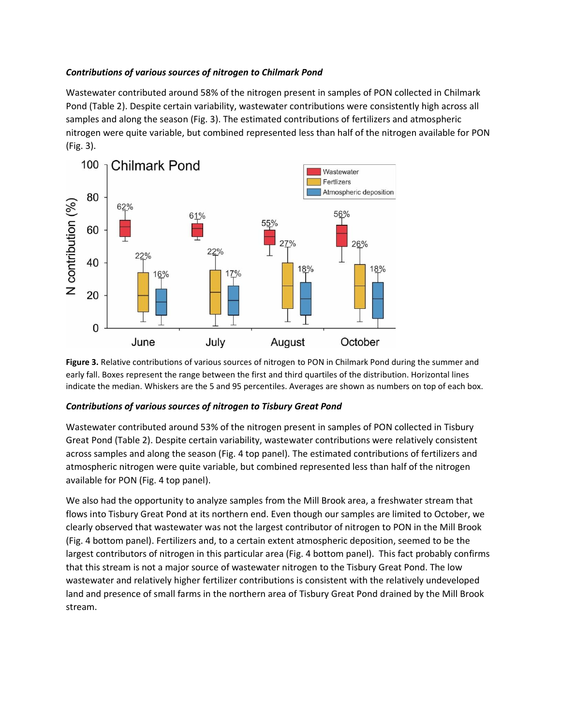#### *Contributions of various sources of nitrogen to Chilmark Pond*

Wastewater contributed around 58% of the nitrogen present in samples of PON collected in Chilmark Pond (Table 2). Despite certain variability, wastewater contributions were consistently high across all samples and along the season (Fig. 3). The estimated contributions of fertilizers and atmospheric nitrogen were quite variable, but combined represented less than half of the nitrogen available for PON (Fig. 3).



**Figure 3.** Relative contributions of various sources of nitrogen to PON in Chilmark Pond during the summer and early fall. Boxes represent the range between the first and third quartiles of the distribution. Horizontal lines indicate the median. Whiskers are the 5 and 95 percentiles. Averages are shown as numbers on top of each box.

## *Contributions of various sources of nitrogen to Tisbury Great Pond*

Wastewater contributed around 53% of the nitrogen present in samples of PON collected in Tisbury Great Pond (Table 2). Despite certain variability, wastewater contributions were relatively consistent across samples and along the season (Fig. 4 top panel). The estimated contributions of fertilizers and atmospheric nitrogen were quite variable, but combined represented less than half of the nitrogen available for PON (Fig. 4 top panel).

We also had the opportunity to analyze samples from the Mill Brook area, a freshwater stream that flows into Tisbury Great Pond at its northern end. Even though our samples are limited to October, we clearly observed that wastewater was not the largest contributor of nitrogen to PON in the Mill Brook (Fig. 4 bottom panel). Fertilizers and, to a certain extent atmospheric deposition, seemed to be the largest contributors of nitrogen in this particular area (Fig. 4 bottom panel). This fact probably confirms that this stream is not a major source of wastewater nitrogen to the Tisbury Great Pond. The low wastewater and relatively higher fertilizer contributions is consistent with the relatively undeveloped land and presence of small farms in the northern area of Tisbury Great Pond drained by the Mill Brook stream.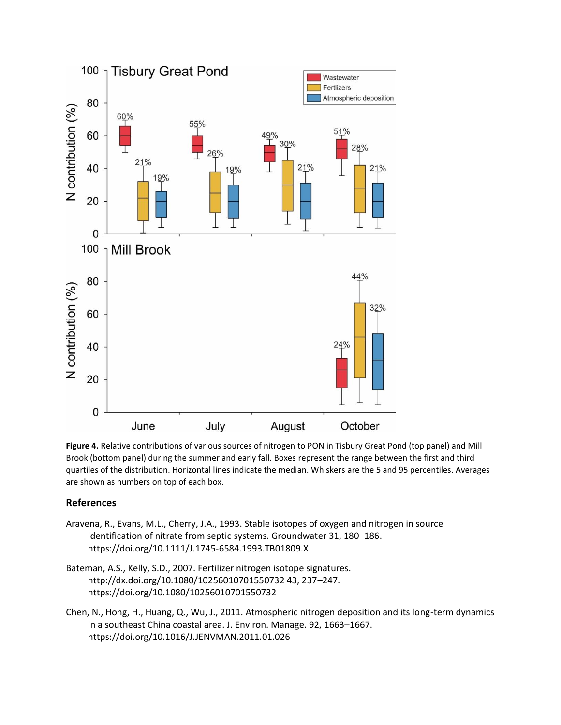

**Figure 4.** Relative contributions of various sources of nitrogen to PON in Tisbury Great Pond (top panel) and Mill Brook (bottom panel) during the summer and early fall. Boxes represent the range between the first and third quartiles of the distribution. Horizontal lines indicate the median. Whiskers are the 5 and 95 percentiles. Averages are shown as numbers on top of each box.

## **References**

- Aravena, R., Evans, M.L., Cherry, J.A., 1993. Stable isotopes of oxygen and nitrogen in source identification of nitrate from septic systems. Groundwater 31, 180–186. https://doi.org/10.1111/J.1745-6584.1993.TB01809.X
- Bateman, A.S., Kelly, S.D., 2007. Fertilizer nitrogen isotope signatures. http://dx.doi.org/10.1080/10256010701550732 43, 237–247. https://doi.org/10.1080/10256010701550732
- Chen, N., Hong, H., Huang, Q., Wu, J., 2011. Atmospheric nitrogen deposition and its long-term dynamics in a southeast China coastal area. J. Environ. Manage. 92, 1663–1667. https://doi.org/10.1016/J.JENVMAN.2011.01.026